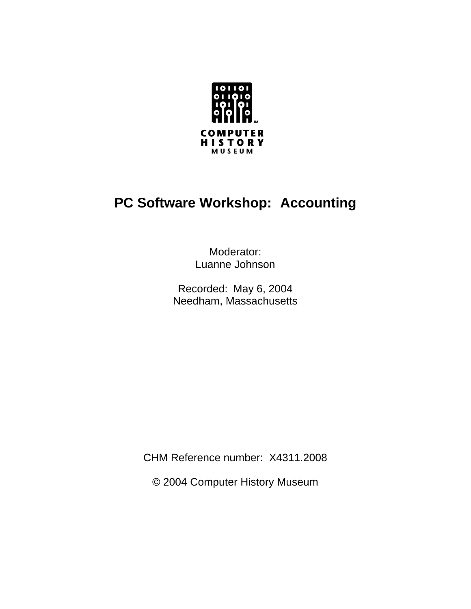

# **PC Software Workshop: Accounting**

Moderator: Luanne Johnson

Recorded: May 6, 2004 Needham, Massachusetts

CHM Reference number: X4311.2008

© 2004 Computer History Museum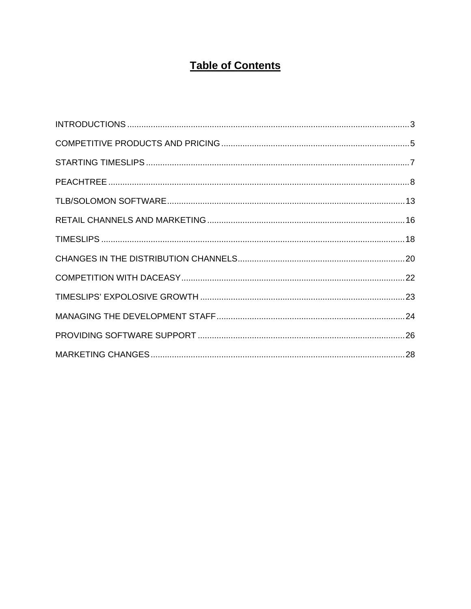# **Table of Contents**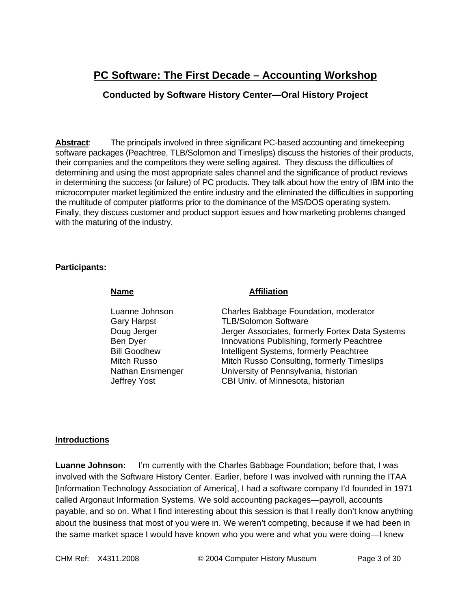# **PC Software: The First Decade – Accounting Workshop**

# **Conducted by Software History Center—Oral History Project**

**Abstract:** The principals involved in three significant PC-based accounting and timekeeping software packages (Peachtree, TLB/Solomon and Timeslips) discuss the histories of their products, their companies and the competitors they were selling against. They discuss the difficulties of determining and using the most appropriate sales channel and the significance of product reviews in determining the success (or failure) of PC products. They talk about how the entry of IBM into the microcomputer market legitimized the entire industry and the eliminated the difficulties in supporting the multitude of computer platforms prior to the dominance of the MS/DOS operating system. Finally, they discuss customer and product support issues and how marketing problems changed with the maturing of the industry.

#### **Participants:**

| <b>Affiliation</b>                                                             |
|--------------------------------------------------------------------------------|
| Charles Babbage Foundation, moderator                                          |
| <b>TLB/Solomon Software</b><br>Jerger Associates, formerly Fortex Data Systems |
| Innovations Publishing, formerly Peachtree                                     |
| Intelligent Systems, formerly Peachtree                                        |
| Mitch Russo Consulting, formerly Timeslips                                     |
| University of Pennsylvania, historian                                          |
| CBI Univ. of Minnesota, historian                                              |
|                                                                                |

#### **Introductions**

**Luanne Johnson:** I'm currently with the Charles Babbage Foundation; before that, I was involved with the Software History Center. Earlier, before I was involved with running the ITAA [Information Technology Association of America], I had a software company I'd founded in 1971 called Argonaut Information Systems. We sold accounting packages—payroll, accounts payable, and so on. What I find interesting about this session is that I really don't know anything about the business that most of you were in. We weren't competing, because if we had been in the same market space I would have known who you were and what you were doing—I knew

CHM Ref: X4311.2008 © 2004 Computer History Museum Page 3 of 30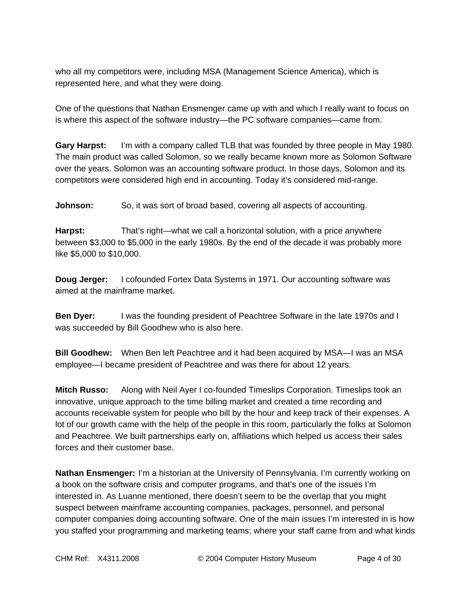who all my competitors were, including MSA (Management Science America), which is represented here, and what they were doing.

One of the questions that Nathan Ensmenger came up with and which I really want to focus on is where this aspect of the software industry—the PC software companies—came from.

**Gary Harpst:** I'm with a company called TLB that was founded by three people in May 1980. The main product was called Solomon, so we really became known more as Solomon Software over the years. Solomon was an accounting software product. In those days, Solomon and its competitors were considered high end in accounting. Today it's considered mid-range.

**Johnson:** So, it was sort of broad based, covering all aspects of accounting.

**Harpst:** That's right—what we call a horizontal solution, with a price anywhere between \$3,000 to \$5,000 in the early 1980s. By the end of the decade it was probably more like \$5,000 to \$10,000.

**Doug Jerger:** I cofounded Fortex Data Systems in 1971. Our accounting software was aimed at the mainframe market.

**Ben Dyer:** I was the founding president of Peachtree Software in the late 1970s and I was succeeded by Bill Goodhew who is also here.

**Bill Goodhew:** When Ben left Peachtree and it had been acquired by MSA—I was an MSA employee—I became president of Peachtree and was there for about 12 years.

**Mitch Russo:** Along with Neil Ayer I co-founded Timeslips Corporation. Timeslips took an innovative, unique approach to the time billing market and created a time recording and accounts receivable system for people who bill by the hour and keep track of their expenses. A lot of our growth came with the help of the people in this room, particularly the folks at Solomon and Peachtree. We built partnerships early on, affiliations which helped us access their sales forces and their customer base.

**Nathan Ensmenger:** I'm a historian at the University of Pennsylvania. I'm currently working on a book on the software crisis and computer programs, and that's one of the issues I'm interested in. As Luanne mentioned, there doesn't seem to be the overlap that you might suspect between mainframe accounting companies, packages, personnel, and personal computer companies doing accounting software. One of the main issues I'm interested in is how you staffed your programming and marketing teams; where your staff came from and what kinds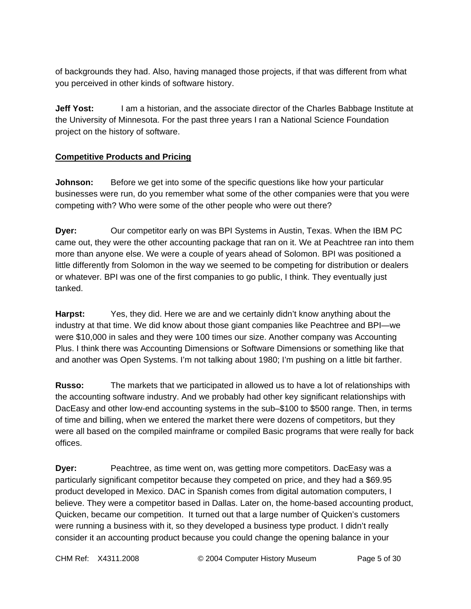of backgrounds they had. Also, having managed those projects, if that was different from what you perceived in other kinds of software history.

**Jeff Yost:** I am a historian, and the associate director of the Charles Babbage Institute at the University of Minnesota. For the past three years I ran a National Science Foundation project on the history of software.

# **Competitive Products and Pricing**

**Johnson:** Before we get into some of the specific questions like how your particular businesses were run, do you remember what some of the other companies were that you were competing with? Who were some of the other people who were out there?

**Dyer:** Our competitor early on was BPI Systems in Austin, Texas. When the IBM PC came out, they were the other accounting package that ran on it. We at Peachtree ran into them more than anyone else. We were a couple of years ahead of Solomon. BPI was positioned a little differently from Solomon in the way we seemed to be competing for distribution or dealers or whatever. BPI was one of the first companies to go public, I think. They eventually just tanked.

**Harpst:** Yes, they did. Here we are and we certainly didn't know anything about the industry at that time. We did know about those giant companies like Peachtree and BPI—we were \$10,000 in sales and they were 100 times our size. Another company was Accounting Plus. I think there was Accounting Dimensions or Software Dimensions or something like that and another was Open Systems. I'm not talking about 1980; I'm pushing on a little bit farther.

**Russo:** The markets that we participated in allowed us to have a lot of relationships with the accounting software industry. And we probably had other key significant relationships with DacEasy and other low-end accounting systems in the sub–\$100 to \$500 range. Then, in terms of time and billing, when we entered the market there were dozens of competitors, but they were all based on the compiled mainframe or compiled Basic programs that were really for back offices.

**Dyer:** Peachtree, as time went on, was getting more competitors. DacEasy was a particularly significant competitor because they competed on price, and they had a \$69.95 product developed in Mexico. DAC in Spanish comes from digital automation computers, I believe. They were a competitor based in Dallas. Later on, the home-based accounting product, Quicken, became our competition. It turned out that a large number of Quicken's customers were running a business with it, so they developed a business type product. I didn't really consider it an accounting product because you could change the opening balance in your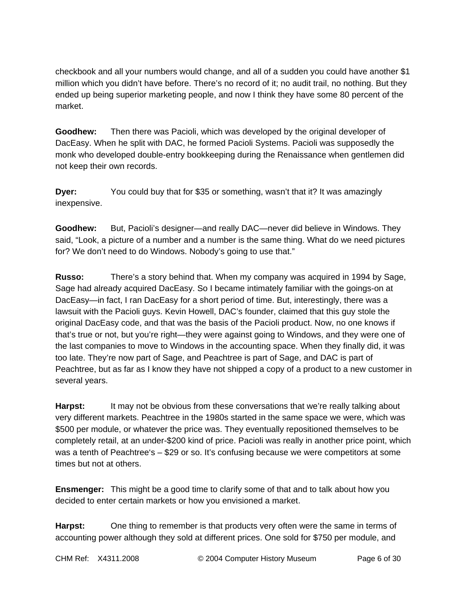checkbook and all your numbers would change, and all of a sudden you could have another \$1 million which you didn't have before. There's no record of it; no audit trail, no nothing. But they ended up being superior marketing people, and now I think they have some 80 percent of the market.

**Goodhew:** Then there was Pacioli, which was developed by the original developer of DacEasy. When he split with DAC, he formed Pacioli Systems. Pacioli was supposedly the monk who developed double-entry bookkeeping during the Renaissance when gentlemen did not keep their own records.

**Dyer:** You could buy that for \$35 or something, wasn't that it? It was amazingly inexpensive.

**Goodhew:** But, Pacioli's designer—and really DAC—never did believe in Windows. They said, "Look, a picture of a number and a number is the same thing. What do we need pictures for? We don't need to do Windows. Nobody's going to use that."

**Russo:** There's a story behind that. When my company was acquired in 1994 by Sage, Sage had already acquired DacEasy. So I became intimately familiar with the goings-on at DacEasy—in fact, I ran DacEasy for a short period of time. But, interestingly, there was a lawsuit with the Pacioli guys. Kevin Howell, DAC's founder, claimed that this guy stole the original DacEasy code, and that was the basis of the Pacioli product. Now, no one knows if that's true or not, but you're right—they were against going to Windows, and they were one of the last companies to move to Windows in the accounting space. When they finally did, it was too late. They're now part of Sage, and Peachtree is part of Sage, and DAC is part of Peachtree, but as far as I know they have not shipped a copy of a product to a new customer in several years.

Harpst: It may not be obvious from these conversations that we're really talking about very different markets. Peachtree in the 1980s started in the same space we were, which was \$500 per module, or whatever the price was. They eventually repositioned themselves to be completely retail, at an under-\$200 kind of price. Pacioli was really in another price point, which was a tenth of Peachtree's – \$29 or so. It's confusing because we were competitors at some times but not at others.

**Ensmenger:** This might be a good time to clarify some of that and to talk about how you decided to enter certain markets or how you envisioned a market.

**Harpst:** One thing to remember is that products very often were the same in terms of accounting power although they sold at different prices. One sold for \$750 per module, and

CHM Ref: X4311.2008 © 2004 Computer History Museum Page 6 of 30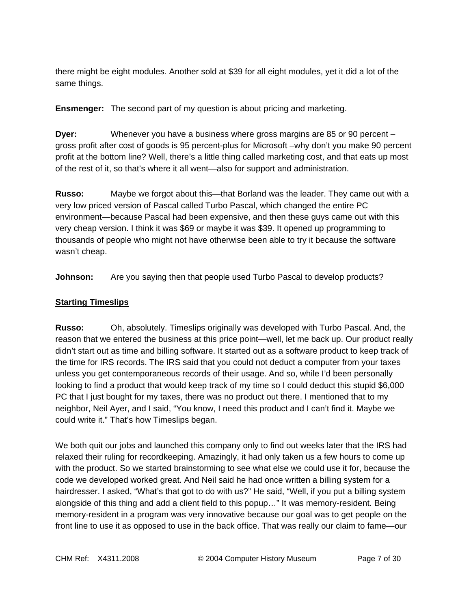there might be eight modules. Another sold at \$39 for all eight modules, yet it did a lot of the same things.

**Ensmenger:** The second part of my question is about pricing and marketing.

**Dyer:** Whenever you have a business where gross margins are 85 or 90 percent – gross profit after cost of goods is 95 percent-plus for Microsoft –why don't you make 90 percent profit at the bottom line? Well, there's a little thing called marketing cost, and that eats up most of the rest of it, so that's where it all went—also for support and administration.

**Russo:** Maybe we forgot about this—that Borland was the leader. They came out with a very low priced version of Pascal called Turbo Pascal, which changed the entire PC environment—because Pascal had been expensive, and then these guys came out with this very cheap version. I think it was \$69 or maybe it was \$39. It opened up programming to thousands of people who might not have otherwise been able to try it because the software wasn't cheap.

**Johnson:** Are you saying then that people used Turbo Pascal to develop products?

# **Starting Timeslips**

**Russo:** Oh, absolutely. Timeslips originally was developed with Turbo Pascal. And, the reason that we entered the business at this price point—well, let me back up. Our product really didn't start out as time and billing software. It started out as a software product to keep track of the time for IRS records. The IRS said that you could not deduct a computer from your taxes unless you get contemporaneous records of their usage. And so, while I'd been personally looking to find a product that would keep track of my time so I could deduct this stupid \$6,000 PC that I just bought for my taxes, there was no product out there. I mentioned that to my neighbor, Neil Ayer, and I said, "You know, I need this product and I can't find it. Maybe we could write it." That's how Timeslips began.

We both quit our jobs and launched this company only to find out weeks later that the IRS had relaxed their ruling for recordkeeping. Amazingly, it had only taken us a few hours to come up with the product. So we started brainstorming to see what else we could use it for, because the code we developed worked great. And Neil said he had once written a billing system for a hairdresser. I asked, "What's that got to do with us?" He said, "Well, if you put a billing system alongside of this thing and add a client field to this popup…" It was memory-resident. Being memory-resident in a program was very innovative because our goal was to get people on the front line to use it as opposed to use in the back office. That was really our claim to fame—our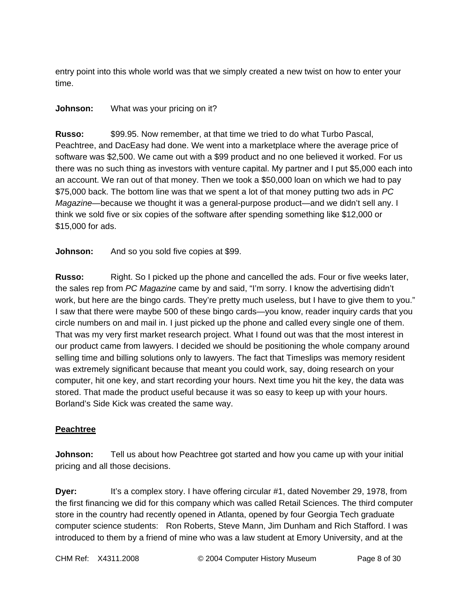entry point into this whole world was that we simply created a new twist on how to enter your time.

## **Johnson:** What was your pricing on it?

**Russo:** \$99.95. Now remember, at that time we tried to do what Turbo Pascal, Peachtree, and DacEasy had done. We went into a marketplace where the average price of software was \$2,500. We came out with a \$99 product and no one believed it worked. For us there was no such thing as investors with venture capital. My partner and I put \$5,000 each into an account. We ran out of that money. Then we took a \$50,000 loan on which we had to pay \$75,000 back. The bottom line was that we spent a lot of that money putting two ads in *PC Magazine*—because we thought it was a general-purpose product—and we didn't sell any. I think we sold five or six copies of the software after spending something like \$12,000 or \$15,000 for ads.

**Johnson:** And so you sold five copies at \$99.

**Russo:** Right. So I picked up the phone and cancelled the ads. Four or five weeks later, the sales rep from *PC Magazine* came by and said, "I'm sorry. I know the advertising didn't work, but here are the bingo cards. They're pretty much useless, but I have to give them to you." I saw that there were maybe 500 of these bingo cards—you know, reader inquiry cards that you circle numbers on and mail in. I just picked up the phone and called every single one of them. That was my very first market research project. What I found out was that the most interest in our product came from lawyers. I decided we should be positioning the whole company around selling time and billing solutions only to lawyers. The fact that Timeslips was memory resident was extremely significant because that meant you could work, say, doing research on your computer, hit one key, and start recording your hours. Next time you hit the key, the data was stored. That made the product useful because it was so easy to keep up with your hours. Borland's Side Kick was created the same way.

# **Peachtree**

**Johnson:** Tell us about how Peachtree got started and how you came up with your initial pricing and all those decisions.

**Dyer:** It's a complex story. I have offering circular #1, dated November 29, 1978, from the first financing we did for this company which was called Retail Sciences. The third computer store in the country had recently opened in Atlanta, opened by four Georgia Tech graduate computer science students: Ron Roberts, Steve Mann, Jim Dunham and Rich Stafford. I was introduced to them by a friend of mine who was a law student at Emory University, and at the

CHM Ref: X4311.2008 © 2004 Computer History Museum Page 8 of 30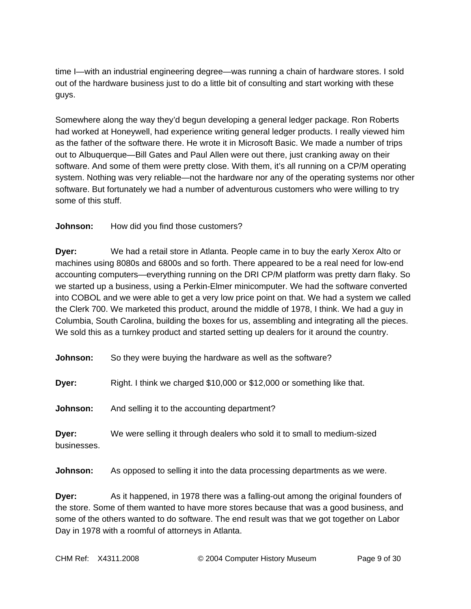time I—with an industrial engineering degree—was running a chain of hardware stores. I sold out of the hardware business just to do a little bit of consulting and start working with these guys.

Somewhere along the way they'd begun developing a general ledger package. Ron Roberts had worked at Honeywell, had experience writing general ledger products. I really viewed him as the father of the software there. He wrote it in Microsoft Basic. We made a number of trips out to Albuquerque—Bill Gates and Paul Allen were out there, just cranking away on their software. And some of them were pretty close. With them, it's all running on a CP/M operating system. Nothing was very reliable—not the hardware nor any of the operating systems nor other software. But fortunately we had a number of adventurous customers who were willing to try some of this stuff.

**Johnson:** How did you find those customers?

**Dyer:** We had a retail store in Atlanta. People came in to buy the early Xerox Alto or machines using 8080s and 6800s and so forth. There appeared to be a real need for low-end accounting computers—everything running on the DRI CP/M platform was pretty darn flaky. So we started up a business, using a Perkin-Elmer minicomputer. We had the software converted into COBOL and we were able to get a very low price point on that. We had a system we called the Clerk 700. We marketed this product, around the middle of 1978, I think. We had a guy in Columbia, South Carolina, building the boxes for us, assembling and integrating all the pieces. We sold this as a turnkey product and started setting up dealers for it around the country.

**Johnson:** So they were buying the hardware as well as the software?

**Dyer:** Right. I think we charged \$10,000 or \$12,000 or something like that.

**Johnson:** And selling it to the accounting department?

**Dyer:** We were selling it through dealers who sold it to small to medium-sized businesses.

**Johnson:** As opposed to selling it into the data processing departments as we were.

**Dyer:** As it happened, in 1978 there was a falling-out among the original founders of the store. Some of them wanted to have more stores because that was a good business, and some of the others wanted to do software. The end result was that we got together on Labor Day in 1978 with a roomful of attorneys in Atlanta.

CHM Ref: X4311.2008 © 2004 Computer History Museum Page 9 of 30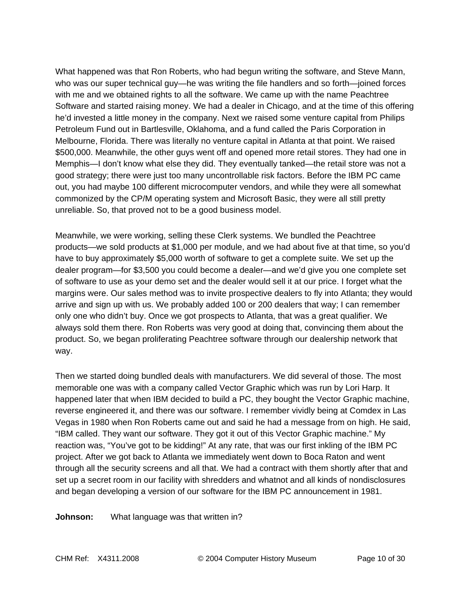What happened was that Ron Roberts, who had begun writing the software, and Steve Mann, who was our super technical guy—he was writing the file handlers and so forth—joined forces with me and we obtained rights to all the software. We came up with the name Peachtree Software and started raising money. We had a dealer in Chicago, and at the time of this offering he'd invested a little money in the company. Next we raised some venture capital from Philips Petroleum Fund out in Bartlesville, Oklahoma, and a fund called the Paris Corporation in Melbourne, Florida. There was literally no venture capital in Atlanta at that point. We raised \$500,000. Meanwhile, the other guys went off and opened more retail stores. They had one in Memphis—I don't know what else they did. They eventually tanked—the retail store was not a good strategy; there were just too many uncontrollable risk factors. Before the IBM PC came out, you had maybe 100 different microcomputer vendors, and while they were all somewhat commonized by the CP/M operating system and Microsoft Basic, they were all still pretty unreliable. So, that proved not to be a good business model.

Meanwhile, we were working, selling these Clerk systems. We bundled the Peachtree products—we sold products at \$1,000 per module, and we had about five at that time, so you'd have to buy approximately \$5,000 worth of software to get a complete suite. We set up the dealer program—for \$3,500 you could become a dealer—and we'd give you one complete set of software to use as your demo set and the dealer would sell it at our price. I forget what the margins were. Our sales method was to invite prospective dealers to fly into Atlanta; they would arrive and sign up with us. We probably added 100 or 200 dealers that way; I can remember only one who didn't buy. Once we got prospects to Atlanta, that was a great qualifier. We always sold them there. Ron Roberts was very good at doing that, convincing them about the product. So, we began proliferating Peachtree software through our dealership network that way.

Then we started doing bundled deals with manufacturers. We did several of those. The most memorable one was with a company called Vector Graphic which was run by Lori Harp. It happened later that when IBM decided to build a PC, they bought the Vector Graphic machine, reverse engineered it, and there was our software. I remember vividly being at Comdex in Las Vegas in 1980 when Ron Roberts came out and said he had a message from on high. He said, "IBM called. They want our software. They got it out of this Vector Graphic machine." My reaction was, "You've got to be kidding!" At any rate, that was our first inkling of the IBM PC project. After we got back to Atlanta we immediately went down to Boca Raton and went through all the security screens and all that. We had a contract with them shortly after that and set up a secret room in our facility with shredders and whatnot and all kinds of nondisclosures and began developing a version of our software for the IBM PC announcement in 1981.

**Johnson:** What language was that written in?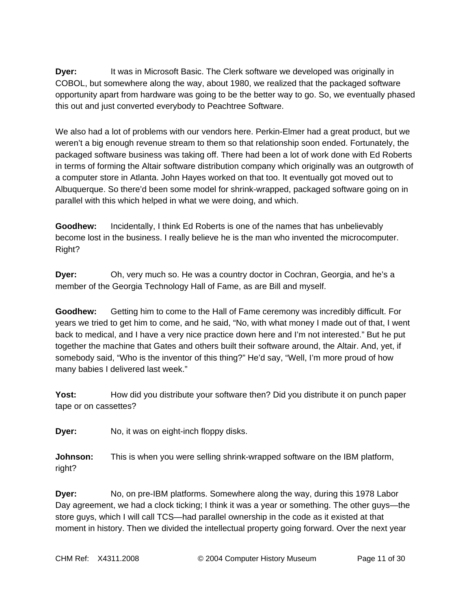**Dyer:** It was in Microsoft Basic. The Clerk software we developed was originally in COBOL, but somewhere along the way, about 1980, we realized that the packaged software opportunity apart from hardware was going to be the better way to go. So, we eventually phased this out and just converted everybody to Peachtree Software.

We also had a lot of problems with our vendors here. Perkin-Elmer had a great product, but we weren't a big enough revenue stream to them so that relationship soon ended. Fortunately, the packaged software business was taking off. There had been a lot of work done with Ed Roberts in terms of forming the Altair software distribution company which originally was an outgrowth of a computer store in Atlanta. John Hayes worked on that too. It eventually got moved out to Albuquerque. So there'd been some model for shrink-wrapped, packaged software going on in parallel with this which helped in what we were doing, and which.

**Goodhew:** Incidentally, I think Ed Roberts is one of the names that has unbelievably become lost in the business. I really believe he is the man who invented the microcomputer. Right?

**Dyer:** Oh, very much so. He was a country doctor in Cochran, Georgia, and he's a member of the Georgia Technology Hall of Fame, as are Bill and myself.

**Goodhew:** Getting him to come to the Hall of Fame ceremony was incredibly difficult. For years we tried to get him to come, and he said, "No, with what money I made out of that, I went back to medical, and I have a very nice practice down here and I'm not interested." But he put together the machine that Gates and others built their software around, the Altair. And, yet, if somebody said, "Who is the inventor of this thing?" He'd say, "Well, I'm more proud of how many babies I delivered last week."

**Yost:** How did you distribute your software then? Did you distribute it on punch paper tape or on cassettes?

**Dyer:** No, it was on eight-inch floppy disks.

**Johnson:** This is when you were selling shrink-wrapped software on the IBM platform, right?

**Dyer:** No, on pre-IBM platforms. Somewhere along the way, during this 1978 Labor Day agreement, we had a clock ticking; I think it was a year or something. The other guys—the store guys, which I will call TCS—had parallel ownership in the code as it existed at that moment in history. Then we divided the intellectual property going forward. Over the next year

CHM Ref: X4311.2008 © 2004 Computer History Museum Page 11 of 30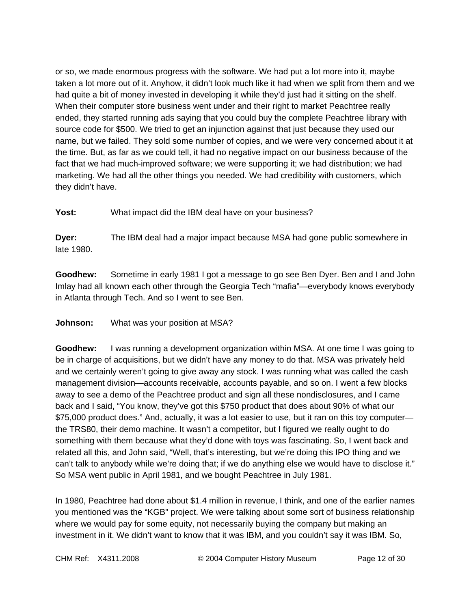or so, we made enormous progress with the software. We had put a lot more into it, maybe taken a lot more out of it. Anyhow, it didn't look much like it had when we split from them and we had quite a bit of money invested in developing it while they'd just had it sitting on the shelf. When their computer store business went under and their right to market Peachtree really ended, they started running ads saying that you could buy the complete Peachtree library with source code for \$500. We tried to get an injunction against that just because they used our name, but we failed. They sold some number of copies, and we were very concerned about it at the time. But, as far as we could tell, it had no negative impact on our business because of the fact that we had much-improved software; we were supporting it; we had distribution; we had marketing. We had all the other things you needed. We had credibility with customers, which they didn't have.

**Yost:** What impact did the IBM deal have on your business?

**Dyer:** The IBM deal had a major impact because MSA had gone public somewhere in late 1980.

**Goodhew:** Sometime in early 1981 I got a message to go see Ben Dyer. Ben and I and John Imlay had all known each other through the Georgia Tech "mafia"—everybody knows everybody in Atlanta through Tech. And so I went to see Ben.

#### **Johnson:** What was your position at MSA?

**Goodhew:** I was running a development organization within MSA. At one time I was going to be in charge of acquisitions, but we didn't have any money to do that. MSA was privately held and we certainly weren't going to give away any stock. I was running what was called the cash management division—accounts receivable, accounts payable, and so on. I went a few blocks away to see a demo of the Peachtree product and sign all these nondisclosures, and I came back and I said, "You know, they've got this \$750 product that does about 90% of what our \$75,000 product does." And, actually, it was a lot easier to use, but it ran on this toy computer the TRS80, their demo machine. It wasn't a competitor, but I figured we really ought to do something with them because what they'd done with toys was fascinating. So, I went back and related all this, and John said, "Well, that's interesting, but we're doing this IPO thing and we can't talk to anybody while we're doing that; if we do anything else we would have to disclose it." So MSA went public in April 1981, and we bought Peachtree in July 1981.

In 1980, Peachtree had done about \$1.4 million in revenue, I think, and one of the earlier names you mentioned was the "KGB" project. We were talking about some sort of business relationship where we would pay for some equity, not necessarily buying the company but making an investment in it. We didn't want to know that it was IBM, and you couldn't say it was IBM. So,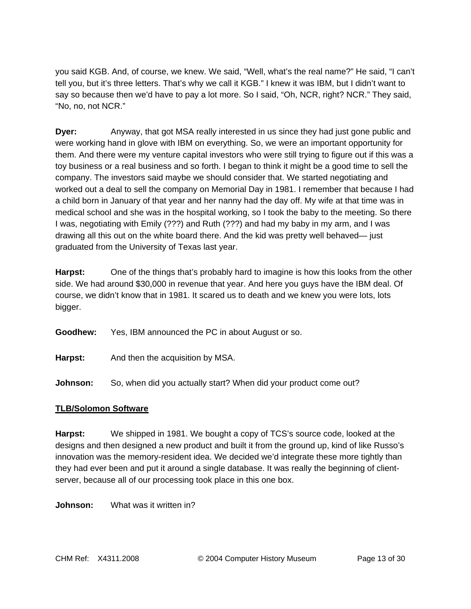you said KGB. And, of course, we knew. We said, "Well, what's the real name?" He said, "I can't tell you, but it's three letters. That's why we call it KGB." I knew it was IBM, but I didn't want to say so because then we'd have to pay a lot more. So I said, "Oh, NCR, right? NCR." They said, "No, no, not NCR."

**Dyer:** Anyway, that got MSA really interested in us since they had just gone public and were working hand in glove with IBM on everything. So, we were an important opportunity for them. And there were my venture capital investors who were still trying to figure out if this was a toy business or a real business and so forth. I began to think it might be a good time to sell the company. The investors said maybe we should consider that. We started negotiating and worked out a deal to sell the company on Memorial Day in 1981. I remember that because I had a child born in January of that year and her nanny had the day off. My wife at that time was in medical school and she was in the hospital working, so I took the baby to the meeting. So there I was, negotiating with Emily (???) and Ruth (???) and had my baby in my arm, and I was drawing all this out on the white board there. And the kid was pretty well behaved— just graduated from the University of Texas last year.

**Harpst:** One of the things that's probably hard to imagine is how this looks from the other side. We had around \$30,000 in revenue that year. And here you guys have the IBM deal. Of course, we didn't know that in 1981. It scared us to death and we knew you were lots, lots bigger.

**Goodhew:** Yes, IBM announced the PC in about August or so.

**Harpst:** And then the acquisition by MSA.

**Johnson:** So, when did you actually start? When did your product come out?

# **TLB/Solomon Software**

**Harpst:** We shipped in 1981. We bought a copy of TCS's source code, looked at the designs and then designed a new product and built it from the ground up, kind of like Russo's innovation was the memory-resident idea. We decided we'd integrate these more tightly than they had ever been and put it around a single database. It was really the beginning of clientserver, because all of our processing took place in this one box.

**Johnson:** What was it written in?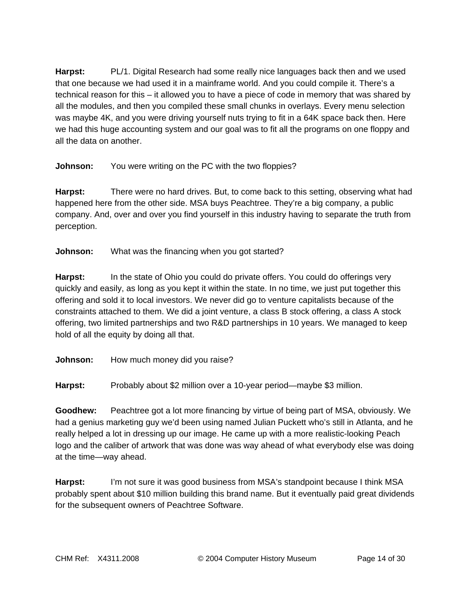**Harpst:** PL/1. Digital Research had some really nice languages back then and we used that one because we had used it in a mainframe world. And you could compile it. There's a technical reason for this – it allowed you to have a piece of code in memory that was shared by all the modules, and then you compiled these small chunks in overlays. Every menu selection was maybe 4K, and you were driving yourself nuts trying to fit in a 64K space back then. Here we had this huge accounting system and our goal was to fit all the programs on one floppy and all the data on another.

**Johnson:** You were writing on the PC with the two floppies?

**Harpst:** There were no hard drives. But, to come back to this setting, observing what had happened here from the other side. MSA buys Peachtree. They're a big company, a public company. And, over and over you find yourself in this industry having to separate the truth from perception.

**Johnson:** What was the financing when you got started?

**Harpst:** In the state of Ohio you could do private offers. You could do offerings very quickly and easily, as long as you kept it within the state. In no time, we just put together this offering and sold it to local investors. We never did go to venture capitalists because of the constraints attached to them. We did a joint venture, a class B stock offering, a class A stock offering, two limited partnerships and two R&D partnerships in 10 years. We managed to keep hold of all the equity by doing all that.

**Johnson:** How much money did you raise?

**Harpst:** Probably about \$2 million over a 10-year period—maybe \$3 million.

**Goodhew:** Peachtree got a lot more financing by virtue of being part of MSA, obviously. We had a genius marketing guy we'd been using named Julian Puckett who's still in Atlanta, and he really helped a lot in dressing up our image. He came up with a more realistic-looking Peach logo and the caliber of artwork that was done was way ahead of what everybody else was doing at the time—way ahead.

**Harpst:** I'm not sure it was good business from MSA's standpoint because I think MSA probably spent about \$10 million building this brand name. But it eventually paid great dividends for the subsequent owners of Peachtree Software.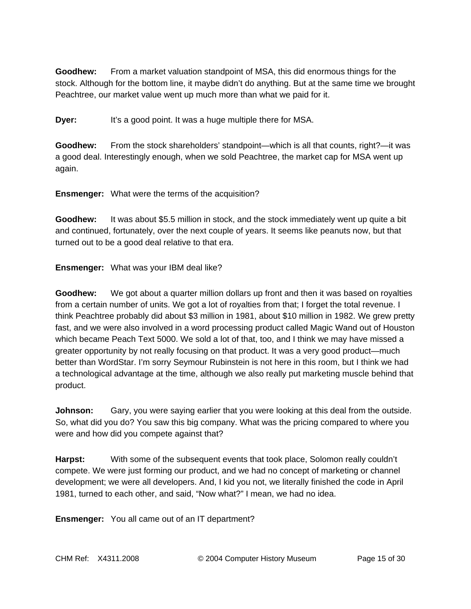**Goodhew:** From a market valuation standpoint of MSA, this did enormous things for the stock. Although for the bottom line, it maybe didn't do anything. But at the same time we brought Peachtree, our market value went up much more than what we paid for it.

**Dyer:** It's a good point. It was a huge multiple there for MSA.

**Goodhew:** From the stock shareholders' standpoint—which is all that counts, right?—it was a good deal. Interestingly enough, when we sold Peachtree, the market cap for MSA went up again.

**Ensmenger:** What were the terms of the acquisition?

**Goodhew:** It was about \$5.5 million in stock, and the stock immediately went up quite a bit and continued, fortunately, over the next couple of years. It seems like peanuts now, but that turned out to be a good deal relative to that era.

**Ensmenger:** What was your IBM deal like?

**Goodhew:** We got about a quarter million dollars up front and then it was based on royalties from a certain number of units. We got a lot of royalties from that; I forget the total revenue. I think Peachtree probably did about \$3 million in 1981, about \$10 million in 1982. We grew pretty fast, and we were also involved in a word processing product called Magic Wand out of Houston which became Peach Text 5000. We sold a lot of that, too, and I think we may have missed a greater opportunity by not really focusing on that product. It was a very good product—much better than WordStar. I'm sorry Seymour Rubinstein is not here in this room, but I think we had a technological advantage at the time, although we also really put marketing muscle behind that product.

**Johnson:** Gary, you were saying earlier that you were looking at this deal from the outside. So, what did you do? You saw this big company. What was the pricing compared to where you were and how did you compete against that?

**Harpst:** With some of the subsequent events that took place, Solomon really couldn't compete. We were just forming our product, and we had no concept of marketing or channel development; we were all developers. And, I kid you not, we literally finished the code in April 1981, turned to each other, and said, "Now what?" I mean, we had no idea.

**Ensmenger:** You all came out of an IT department?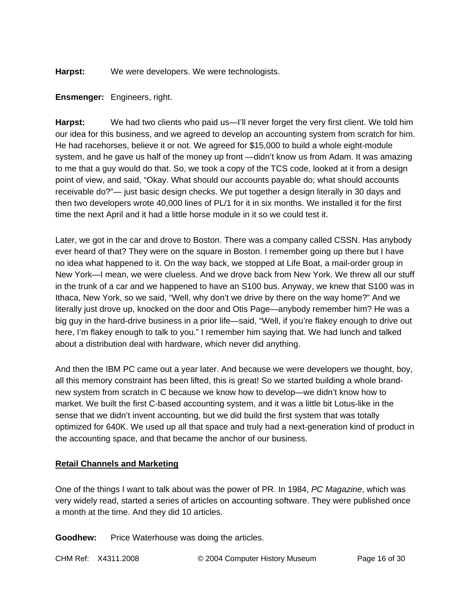**Harpst:** We were developers. We were technologists.

#### **Ensmenger:** Engineers, right.

Harpst: We had two clients who paid us—I'll never forget the very first client. We told him our idea for this business, and we agreed to develop an accounting system from scratch for him. He had racehorses, believe it or not. We agreed for \$15,000 to build a whole eight-module system, and he gave us half of the money up front —didn't know us from Adam. It was amazing to me that a guy would do that. So, we took a copy of the TCS code, looked at it from a design point of view, and said, "Okay. What should our accounts payable do; what should accounts receivable do?"— just basic design checks. We put together a design literally in 30 days and then two developers wrote 40,000 lines of PL/1 for it in six months. We installed it for the first time the next April and it had a little horse module in it so we could test it.

Later, we got in the car and drove to Boston. There was a company called CSSN. Has anybody ever heard of that? They were on the square in Boston. I remember going up there but I have no idea what happened to it. On the way back, we stopped at Life Boat, a mail-order group in New York—I mean, we were clueless. And we drove back from New York. We threw all our stuff in the trunk of a car and we happened to have an S100 bus. Anyway, we knew that S100 was in Ithaca, New York, so we said, "Well, why don't we drive by there on the way home?" And we literally just drove up, knocked on the door and Otis Page—anybody remember him? He was a big guy in the hard-drive business in a prior life—said, "Well, if you're flakey enough to drive out here, I'm flakey enough to talk to you." I remember him saying that. We had lunch and talked about a distribution deal with hardware, which never did anything.

And then the IBM PC came out a year later. And because we were developers we thought, boy, all this memory constraint has been lifted, this is great! So we started building a whole brandnew system from scratch in C because we know how to develop—we didn't know how to market. We built the first C-based accounting system, and it was a little bit Lotus-like in the sense that we didn't invent accounting, but we did build the first system that was totally optimized for 640K. We used up all that space and truly had a next-generation kind of product in the accounting space, and that became the anchor of our business.

# **Retail Channels and Marketing**

One of the things I want to talk about was the power of PR. In 1984, *PC Magazine*, which was very widely read, started a series of articles on accounting software. They were published once a month at the time. And they did 10 articles.

**Goodhew:** Price Waterhouse was doing the articles.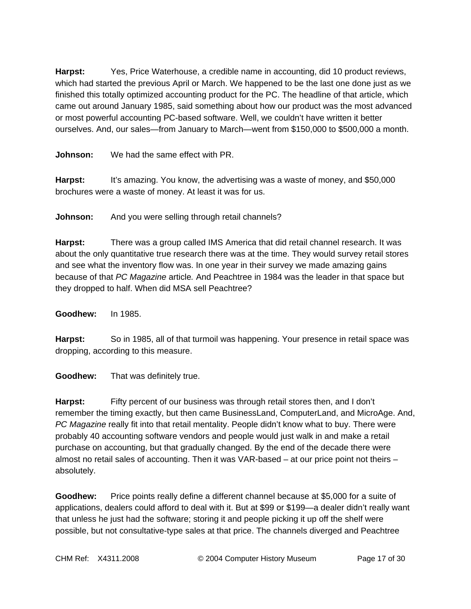**Harpst:** Yes, Price Waterhouse, a credible name in accounting, did 10 product reviews, which had started the previous April or March. We happened to be the last one done just as we finished this totally optimized accounting product for the PC. The headline of that article, which came out around January 1985, said something about how our product was the most advanced or most powerful accounting PC-based software. Well, we couldn't have written it better ourselves. And, our sales—from January to March—went from \$150,000 to \$500,000 a month.

**Johnson:** We had the same effect with PR.

**Harpst:** It's amazing. You know, the advertising was a waste of money, and \$50,000 brochures were a waste of money. At least it was for us.

**Johnson:** And you were selling through retail channels?

**Harpst:** There was a group called IMS America that did retail channel research. It was about the only quantitative true research there was at the time. They would survey retail stores and see what the inventory flow was. In one year in their survey we made amazing gains because of that *PC Magazine* article*.* And Peachtree in 1984 was the leader in that space but they dropped to half. When did MSA sell Peachtree?

**Goodhew:** In 1985.

**Harpst:** So in 1985, all of that turmoil was happening. Your presence in retail space was dropping, according to this measure.

**Goodhew:** That was definitely true.

**Harpst:** Fifty percent of our business was through retail stores then, and I don't remember the timing exactly, but then came BusinessLand, ComputerLand, and MicroAge. And, *PC Magazine* really fit into that retail mentality. People didn't know what to buy. There were probably 40 accounting software vendors and people would just walk in and make a retail purchase on accounting, but that gradually changed. By the end of the decade there were almost no retail sales of accounting. Then it was VAR-based – at our price point not theirs – absolutely.

**Goodhew:** Price points really define a different channel because at \$5,000 for a suite of applications, dealers could afford to deal with it. But at \$99 or \$199—a dealer didn't really want that unless he just had the software; storing it and people picking it up off the shelf were possible, but not consultative-type sales at that price. The channels diverged and Peachtree

CHM Ref: X4311.2008 © 2004 Computer History Museum Page 17 of 30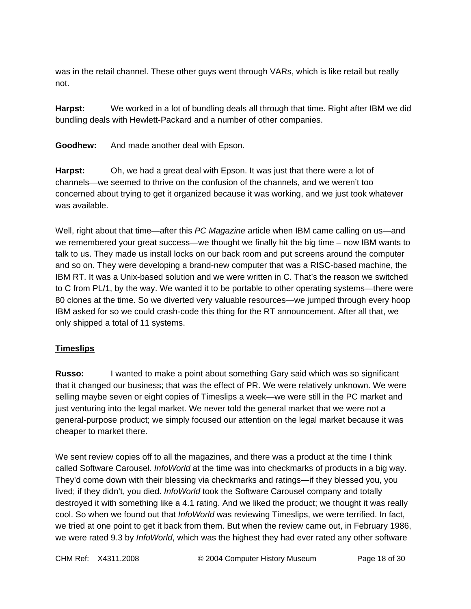was in the retail channel. These other guys went through VARs, which is like retail but really not.

**Harpst:** We worked in a lot of bundling deals all through that time. Right after IBM we did bundling deals with Hewlett-Packard and a number of other companies.

**Goodhew:** And made another deal with Epson.

**Harpst:** Oh, we had a great deal with Epson. It was just that there were a lot of channels—we seemed to thrive on the confusion of the channels, and we weren't too concerned about trying to get it organized because it was working, and we just took whatever was available.

Well, right about that time—after this *PC Magazine* article when IBM came calling on us—and we remembered your great success—we thought we finally hit the big time – now IBM wants to talk to us. They made us install locks on our back room and put screens around the computer and so on. They were developing a brand-new computer that was a RISC-based machine, the IBM RT. It was a Unix-based solution and we were written in C. That's the reason we switched to C from PL/1, by the way. We wanted it to be portable to other operating systems—there were 80 clones at the time. So we diverted very valuable resources—we jumped through every hoop IBM asked for so we could crash-code this thing for the RT announcement. After all that, we only shipped a total of 11 systems.

# **Timeslips**

**Russo:** I wanted to make a point about something Gary said which was so significant that it changed our business; that was the effect of PR. We were relatively unknown. We were selling maybe seven or eight copies of Timeslips a week—we were still in the PC market and just venturing into the legal market. We never told the general market that we were not a general-purpose product; we simply focused our attention on the legal market because it was cheaper to market there.

We sent review copies off to all the magazines, and there was a product at the time I think called Software Carousel. *InfoWorld* at the time was into checkmarks of products in a big way. They'd come down with their blessing via checkmarks and ratings—if they blessed you, you lived; if they didn't, you died. *InfoWorld* took the Software Carousel company and totally destroyed it with something like a 4.1 rating. And we liked the product; we thought it was really cool. So when we found out that *InfoWorld* was reviewing Timeslips, we were terrified. In fact, we tried at one point to get it back from them. But when the review came out, in February 1986, we were rated 9.3 by *InfoWorld*, which was the highest they had ever rated any other software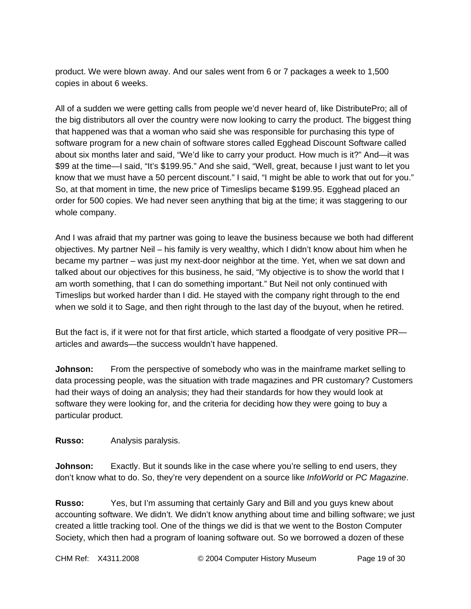product. We were blown away. And our sales went from 6 or 7 packages a week to 1,500 copies in about 6 weeks.

All of a sudden we were getting calls from people we'd never heard of, like DistributePro; all of the big distributors all over the country were now looking to carry the product. The biggest thing that happened was that a woman who said she was responsible for purchasing this type of software program for a new chain of software stores called Egghead Discount Software called about six months later and said, "We'd like to carry your product. How much is it?" And—it was \$99 at the time—I said, "It's \$199.95." And she said, "Well, great, because I just want to let you know that we must have a 50 percent discount." I said, "I might be able to work that out for you." So, at that moment in time, the new price of Timeslips became \$199.95. Egghead placed an order for 500 copies. We had never seen anything that big at the time; it was staggering to our whole company.

And I was afraid that my partner was going to leave the business because we both had different objectives. My partner Neil – his family is very wealthy, which I didn't know about him when he became my partner – was just my next-door neighbor at the time. Yet, when we sat down and talked about our objectives for this business, he said, "My objective is to show the world that I am worth something, that I can do something important." But Neil not only continued with Timeslips but worked harder than I did. He stayed with the company right through to the end when we sold it to Sage, and then right through to the last day of the buyout, when he retired.

But the fact is, if it were not for that first article, which started a floodgate of very positive PR articles and awards—the success wouldn't have happened.

**Johnson:** From the perspective of somebody who was in the mainframe market selling to data processing people, was the situation with trade magazines and PR customary? Customers had their ways of doing an analysis; they had their standards for how they would look at software they were looking for, and the criteria for deciding how they were going to buy a particular product.

**Russo:** Analysis paralysis.

**Johnson:** Exactly. But it sounds like in the case where you're selling to end users, they don't know what to do. So, they're very dependent on a source like *InfoWorld* or *PC Magazine*.

**Russo:** Yes, but I'm assuming that certainly Gary and Bill and you guys knew about accounting software. We didn't. We didn't know anything about time and billing software; we just created a little tracking tool. One of the things we did is that we went to the Boston Computer Society, which then had a program of loaning software out. So we borrowed a dozen of these

CHM Ref: X4311.2008 © 2004 Computer History Museum Page 19 of 30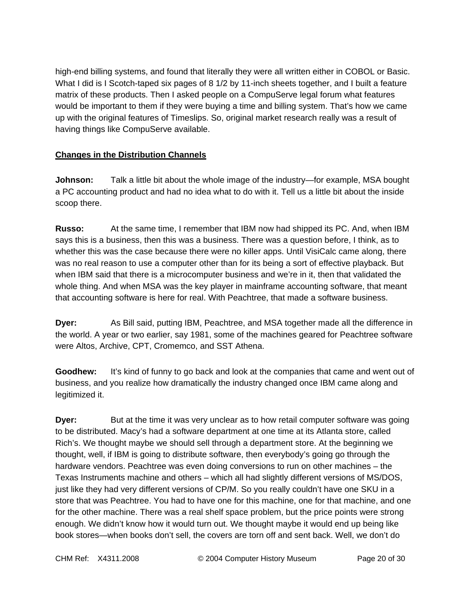high-end billing systems, and found that literally they were all written either in COBOL or Basic. What I did is I Scotch-taped six pages of 8 1/2 by 11-inch sheets together, and I built a feature matrix of these products. Then I asked people on a CompuServe legal forum what features would be important to them if they were buying a time and billing system. That's how we came up with the original features of Timeslips. So, original market research really was a result of having things like CompuServe available.

# **Changes in the Distribution Channels**

**Johnson:** Talk a little bit about the whole image of the industry—for example, MSA bought a PC accounting product and had no idea what to do with it. Tell us a little bit about the inside scoop there.

**Russo:** At the same time, I remember that IBM now had shipped its PC. And, when IBM says this is a business, then this was a business. There was a question before, I think, as to whether this was the case because there were no killer apps. Until VisiCalc came along, there was no real reason to use a computer other than for its being a sort of effective playback. But when IBM said that there is a microcomputer business and we're in it, then that validated the whole thing. And when MSA was the key player in mainframe accounting software, that meant that accounting software is here for real. With Peachtree, that made a software business.

**Dyer:** As Bill said, putting IBM, Peachtree, and MSA together made all the difference in the world. A year or two earlier, say 1981, some of the machines geared for Peachtree software were Altos, Archive, CPT, Cromemco, and SST Athena.

**Goodhew:** It's kind of funny to go back and look at the companies that came and went out of business, and you realize how dramatically the industry changed once IBM came along and legitimized it.

**Dyer:** But at the time it was very unclear as to how retail computer software was going to be distributed. Macy's had a software department at one time at its Atlanta store, called Rich's. We thought maybe we should sell through a department store. At the beginning we thought, well, if IBM is going to distribute software, then everybody's going go through the hardware vendors. Peachtree was even doing conversions to run on other machines – the Texas Instruments machine and others – which all had slightly different versions of MS/DOS, just like they had very different versions of CP/M. So you really couldn't have one SKU in a store that was Peachtree. You had to have one for this machine, one for that machine, and one for the other machine. There was a real shelf space problem, but the price points were strong enough. We didn't know how it would turn out. We thought maybe it would end up being like book stores—when books don't sell, the covers are torn off and sent back. Well, we don't do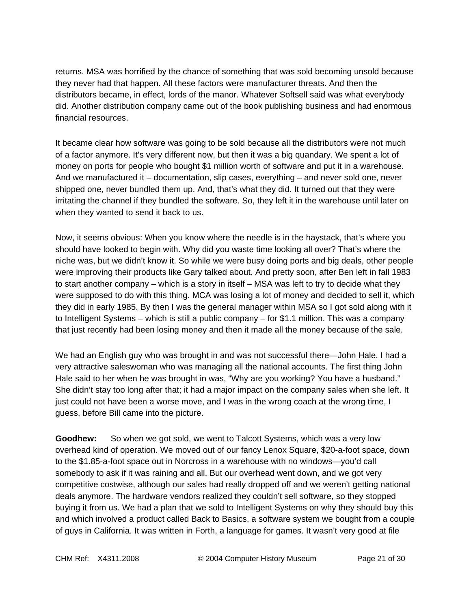returns. MSA was horrified by the chance of something that was sold becoming unsold because they never had that happen. All these factors were manufacturer threats. And then the distributors became, in effect, lords of the manor. Whatever Softsell said was what everybody did. Another distribution company came out of the book publishing business and had enormous financial resources.

It became clear how software was going to be sold because all the distributors were not much of a factor anymore. It's very different now, but then it was a big quandary. We spent a lot of money on ports for people who bought \$1 million worth of software and put it in a warehouse. And we manufactured it – documentation, slip cases, everything – and never sold one, never shipped one, never bundled them up. And, that's what they did. It turned out that they were irritating the channel if they bundled the software. So, they left it in the warehouse until later on when they wanted to send it back to us.

Now, it seems obvious: When you know where the needle is in the haystack, that's where you should have looked to begin with. Why did you waste time looking all over? That's where the niche was, but we didn't know it. So while we were busy doing ports and big deals, other people were improving their products like Gary talked about. And pretty soon, after Ben left in fall 1983 to start another company – which is a story in itself – MSA was left to try to decide what they were supposed to do with this thing. MCA was losing a lot of money and decided to sell it, which they did in early 1985. By then I was the general manager within MSA so I got sold along with it to Intelligent Systems – which is still a public company – for \$1.1 million. This was a company that just recently had been losing money and then it made all the money because of the sale.

We had an English guy who was brought in and was not successful there—John Hale. I had a very attractive saleswoman who was managing all the national accounts. The first thing John Hale said to her when he was brought in was, "Why are you working? You have a husband." She didn't stay too long after that; it had a major impact on the company sales when she left. It just could not have been a worse move, and I was in the wrong coach at the wrong time, I guess, before Bill came into the picture.

**Goodhew:** So when we got sold, we went to Talcott Systems, which was a very low overhead kind of operation. We moved out of our fancy Lenox Square, \$20-a-foot space, down to the \$1.85-a-foot space out in Norcross in a warehouse with no windows—you'd call somebody to ask if it was raining and all. But our overhead went down, and we got very competitive costwise, although our sales had really dropped off and we weren't getting national deals anymore. The hardware vendors realized they couldn't sell software, so they stopped buying it from us. We had a plan that we sold to Intelligent Systems on why they should buy this and which involved a product called Back to Basics, a software system we bought from a couple of guys in California. It was written in Forth, a language for games. It wasn't very good at file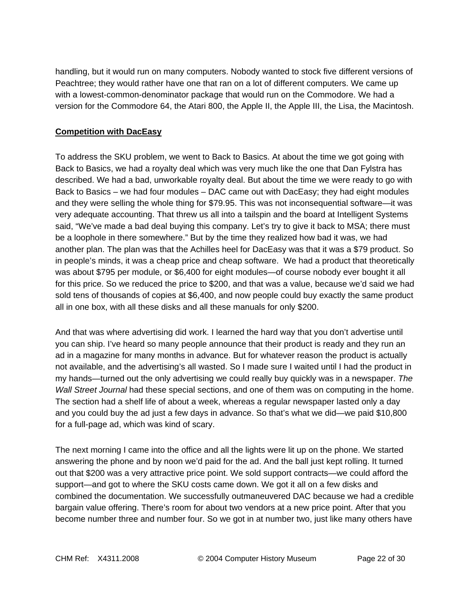handling, but it would run on many computers. Nobody wanted to stock five different versions of Peachtree; they would rather have one that ran on a lot of different computers. We came up with a lowest-common-denominator package that would run on the Commodore. We had a version for the Commodore 64, the Atari 800, the Apple II, the Apple III, the Lisa, the Macintosh.

## **Competition with DacEasy**

To address the SKU problem, we went to Back to Basics. At about the time we got going with Back to Basics, we had a royalty deal which was very much like the one that Dan Fylstra has described. We had a bad, unworkable royalty deal. But about the time we were ready to go with Back to Basics – we had four modules – DAC came out with DacEasy; they had eight modules and they were selling the whole thing for \$79.95. This was not inconsequential software—it was very adequate accounting. That threw us all into a tailspin and the board at Intelligent Systems said, "We've made a bad deal buying this company. Let's try to give it back to MSA; there must be a loophole in there somewhere." But by the time they realized how bad it was, we had another plan. The plan was that the Achilles heel for DacEasy was that it was a \$79 product. So in people's minds, it was a cheap price and cheap software. We had a product that theoretically was about \$795 per module, or \$6,400 for eight modules—of course nobody ever bought it all for this price. So we reduced the price to \$200, and that was a value, because we'd said we had sold tens of thousands of copies at \$6,400, and now people could buy exactly the same product all in one box, with all these disks and all these manuals for only \$200.

And that was where advertising did work. I learned the hard way that you don't advertise until you can ship. I've heard so many people announce that their product is ready and they run an ad in a magazine for many months in advance. But for whatever reason the product is actually not available, and the advertising's all wasted. So I made sure I waited until I had the product in my hands—turned out the only advertising we could really buy quickly was in a newspaper. *The Wall Street Journal* had these special sections, and one of them was on computing in the home. The section had a shelf life of about a week, whereas a regular newspaper lasted only a day and you could buy the ad just a few days in advance. So that's what we did—we paid \$10,800 for a full-page ad, which was kind of scary.

The next morning I came into the office and all the lights were lit up on the phone. We started answering the phone and by noon we'd paid for the ad. And the ball just kept rolling. It turned out that \$200 was a very attractive price point. We sold support contracts—we could afford the support—and got to where the SKU costs came down. We got it all on a few disks and combined the documentation. We successfully outmaneuvered DAC because we had a credible bargain value offering. There's room for about two vendors at a new price point. After that you become number three and number four. So we got in at number two, just like many others have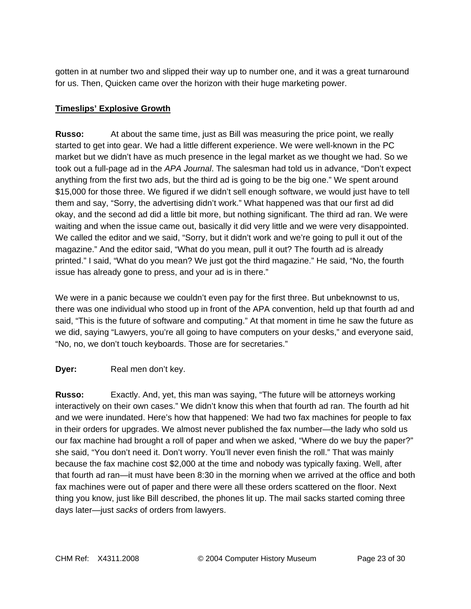gotten in at number two and slipped their way up to number one, and it was a great turnaround for us. Then, Quicken came over the horizon with their huge marketing power.

# **Timeslips' Explosive Growth**

**Russo:** At about the same time, just as Bill was measuring the price point, we really started to get into gear. We had a little different experience. We were well-known in the PC market but we didn't have as much presence in the legal market as we thought we had. So we took out a full-page ad in the *APA Journal*. The salesman had told us in advance, "Don't expect anything from the first two ads, but the third ad is going to be the big one." We spent around \$15,000 for those three. We figured if we didn't sell enough software, we would just have to tell them and say, "Sorry, the advertising didn't work." What happened was that our first ad did okay, and the second ad did a little bit more, but nothing significant. The third ad ran. We were waiting and when the issue came out, basically it did very little and we were very disappointed. We called the editor and we said, "Sorry, but it didn't work and we're going to pull it out of the magazine." And the editor said, "What do you mean, pull it out? The fourth ad is already printed." I said, "What do you mean? We just got the third magazine." He said, "No, the fourth issue has already gone to press, and your ad is in there."

We were in a panic because we couldn't even pay for the first three. But unbeknownst to us, there was one individual who stood up in front of the APA convention, held up that fourth ad and said, "This is the future of software and computing." At that moment in time he saw the future as we did, saying "Lawyers, you're all going to have computers on your desks," and everyone said, "No, no, we don't touch keyboards. Those are for secretaries."

# **Dyer:** Real men don't key.

**Russo:** Exactly. And, yet, this man was saying, "The future will be attorneys working interactively on their own cases." We didn't know this when that fourth ad ran. The fourth ad hit and we were inundated. Here's how that happened: We had two fax machines for people to fax in their orders for upgrades. We almost never published the fax number—the lady who sold us our fax machine had brought a roll of paper and when we asked, "Where do we buy the paper?" she said, "You don't need it. Don't worry. You'll never even finish the roll." That was mainly because the fax machine cost \$2,000 at the time and nobody was typically faxing. Well, after that fourth ad ran—it must have been 8:30 in the morning when we arrived at the office and both fax machines were out of paper and there were all these orders scattered on the floor. Next thing you know, just like Bill described, the phones lit up. The mail sacks started coming three days later—just *sacks* of orders from lawyers.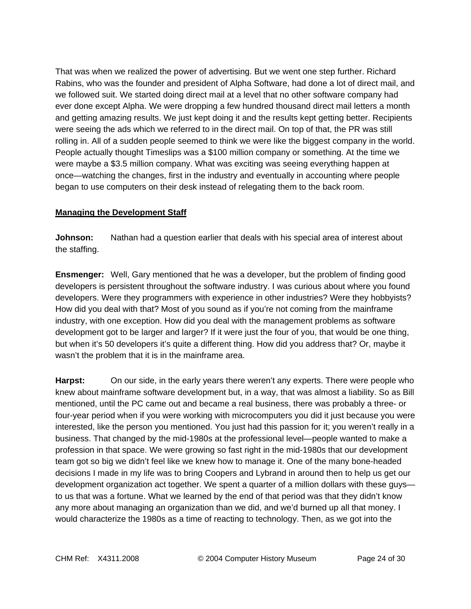That was when we realized the power of advertising. But we went one step further. Richard Rabins, who was the founder and president of Alpha Software, had done a lot of direct mail, and we followed suit. We started doing direct mail at a level that no other software company had ever done except Alpha. We were dropping a few hundred thousand direct mail letters a month and getting amazing results. We just kept doing it and the results kept getting better. Recipients were seeing the ads which we referred to in the direct mail. On top of that, the PR was still rolling in. All of a sudden people seemed to think we were like the biggest company in the world. People actually thought Timeslips was a \$100 million company or something. At the time we were maybe a \$3.5 million company. What was exciting was seeing everything happen at once—watching the changes, first in the industry and eventually in accounting where people began to use computers on their desk instead of relegating them to the back room.

# **Managing the Development Staff**

**Johnson:** Nathan had a question earlier that deals with his special area of interest about the staffing.

**Ensmenger:** Well, Gary mentioned that he was a developer, but the problem of finding good developers is persistent throughout the software industry. I was curious about where you found developers. Were they programmers with experience in other industries? Were they hobbyists? How did you deal with that? Most of you sound as if you're not coming from the mainframe industry, with one exception. How did you deal with the management problems as software development got to be larger and larger? If it were just the four of you, that would be one thing, but when it's 50 developers it's quite a different thing. How did you address that? Or, maybe it wasn't the problem that it is in the mainframe area.

**Harpst:** On our side, in the early years there weren't any experts. There were people who knew about mainframe software development but, in a way, that was almost a liability. So as Bill mentioned, until the PC came out and became a real business, there was probably a three- or four-year period when if you were working with microcomputers you did it just because you were interested, like the person you mentioned. You just had this passion for it; you weren't really in a business. That changed by the mid-1980s at the professional level—people wanted to make a profession in that space. We were growing so fast right in the mid-1980s that our development team got so big we didn't feel like we knew how to manage it. One of the many bone-headed decisions I made in my life was to bring Coopers and Lybrand in around then to help us get our development organization act together. We spent a quarter of a million dollars with these guys to us that was a fortune. What we learned by the end of that period was that they didn't know any more about managing an organization than we did, and we'd burned up all that money. I would characterize the 1980s as a time of reacting to technology. Then, as we got into the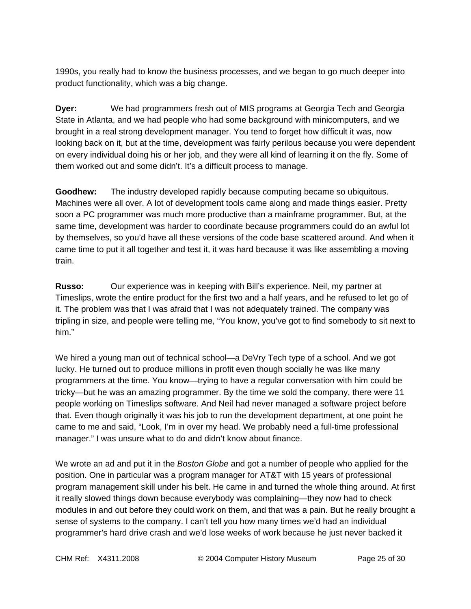1990s, you really had to know the business processes, and we began to go much deeper into product functionality, which was a big change.

**Dyer:** We had programmers fresh out of MIS programs at Georgia Tech and Georgia State in Atlanta, and we had people who had some background with minicomputers, and we brought in a real strong development manager. You tend to forget how difficult it was, now looking back on it, but at the time, development was fairly perilous because you were dependent on every individual doing his or her job, and they were all kind of learning it on the fly. Some of them worked out and some didn't. It's a difficult process to manage.

**Goodhew:** The industry developed rapidly because computing became so ubiquitous. Machines were all over. A lot of development tools came along and made things easier. Pretty soon a PC programmer was much more productive than a mainframe programmer. But, at the same time, development was harder to coordinate because programmers could do an awful lot by themselves, so you'd have all these versions of the code base scattered around. And when it came time to put it all together and test it, it was hard because it was like assembling a moving train.

**Russo:** Our experience was in keeping with Bill's experience. Neil, my partner at Timeslips, wrote the entire product for the first two and a half years, and he refused to let go of it. The problem was that I was afraid that I was not adequately trained. The company was tripling in size, and people were telling me, "You know, you've got to find somebody to sit next to him."

We hired a young man out of technical school—a DeVry Tech type of a school. And we got lucky. He turned out to produce millions in profit even though socially he was like many programmers at the time. You know—trying to have a regular conversation with him could be tricky—but he was an amazing programmer. By the time we sold the company, there were 11 people working on Timeslips software. And Neil had never managed a software project before that. Even though originally it was his job to run the development department, at one point he came to me and said, "Look, I'm in over my head. We probably need a full-time professional manager." I was unsure what to do and didn't know about finance.

We wrote an ad and put it in the *Boston Globe* and got a number of people who applied for the position. One in particular was a program manager for AT&T with 15 years of professional program management skill under his belt. He came in and turned the whole thing around. At first it really slowed things down because everybody was complaining—they now had to check modules in and out before they could work on them, and that was a pain. But he really brought a sense of systems to the company. I can't tell you how many times we'd had an individual programmer's hard drive crash and we'd lose weeks of work because he just never backed it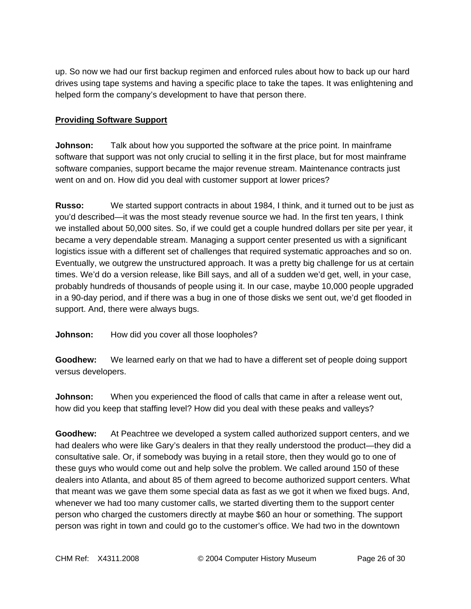up. So now we had our first backup regimen and enforced rules about how to back up our hard drives using tape systems and having a specific place to take the tapes. It was enlightening and helped form the company's development to have that person there.

## **Providing Software Support**

**Johnson:** Talk about how you supported the software at the price point. In mainframe software that support was not only crucial to selling it in the first place, but for most mainframe software companies, support became the major revenue stream. Maintenance contracts just went on and on. How did you deal with customer support at lower prices?

**Russo:** We started support contracts in about 1984, I think, and it turned out to be just as you'd described—it was the most steady revenue source we had. In the first ten years, I think we installed about 50,000 sites. So, if we could get a couple hundred dollars per site per year, it became a very dependable stream. Managing a support center presented us with a significant logistics issue with a different set of challenges that required systematic approaches and so on. Eventually, we outgrew the unstructured approach. It was a pretty big challenge for us at certain times. We'd do a version release, like Bill says, and all of a sudden we'd get, well, in your case, probably hundreds of thousands of people using it. In our case, maybe 10,000 people upgraded in a 90-day period, and if there was a bug in one of those disks we sent out, we'd get flooded in support. And, there were always bugs.

**Johnson:** How did you cover all those loopholes?

**Goodhew:** We learned early on that we had to have a different set of people doing support versus developers.

**Johnson:** When you experienced the flood of calls that came in after a release went out, how did you keep that staffing level? How did you deal with these peaks and valleys?

**Goodhew:** At Peachtree we developed a system called authorized support centers, and we had dealers who were like Gary's dealers in that they really understood the product—they did a consultative sale. Or, if somebody was buying in a retail store, then they would go to one of these guys who would come out and help solve the problem. We called around 150 of these dealers into Atlanta, and about 85 of them agreed to become authorized support centers. What that meant was we gave them some special data as fast as we got it when we fixed bugs. And, whenever we had too many customer calls, we started diverting them to the support center person who charged the customers directly at maybe \$60 an hour or something. The support person was right in town and could go to the customer's office. We had two in the downtown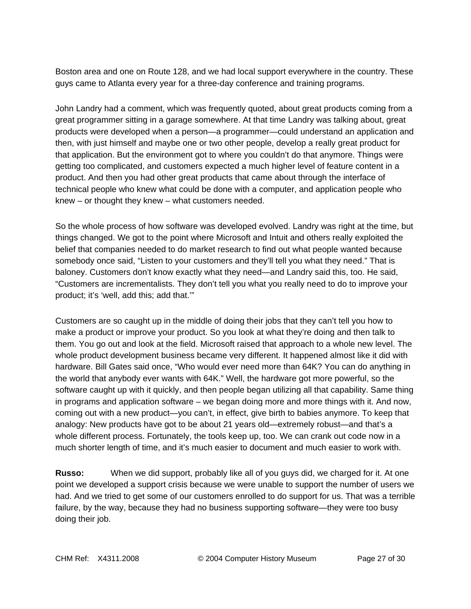Boston area and one on Route 128, and we had local support everywhere in the country. These guys came to Atlanta every year for a three-day conference and training programs.

John Landry had a comment, which was frequently quoted, about great products coming from a great programmer sitting in a garage somewhere. At that time Landry was talking about, great products were developed when a person—a programmer—could understand an application and then, with just himself and maybe one or two other people, develop a really great product for that application. But the environment got to where you couldn't do that anymore. Things were getting too complicated, and customers expected a much higher level of feature content in a product. And then you had other great products that came about through the interface of technical people who knew what could be done with a computer, and application people who knew – or thought they knew – what customers needed.

So the whole process of how software was developed evolved. Landry was right at the time, but things changed. We got to the point where Microsoft and Intuit and others really exploited the belief that companies needed to do market research to find out what people wanted because somebody once said, "Listen to your customers and they'll tell you what they need." That is baloney. Customers don't know exactly what they need—and Landry said this, too. He said, "Customers are incrementalists. They don't tell you what you really need to do to improve your product; it's 'well, add this; add that.'"

Customers are so caught up in the middle of doing their jobs that they can't tell you how to make a product or improve your product. So you look at what they're doing and then talk to them. You go out and look at the field. Microsoft raised that approach to a whole new level. The whole product development business became very different. It happened almost like it did with hardware. Bill Gates said once, "Who would ever need more than 64K? You can do anything in the world that anybody ever wants with 64K." Well, the hardware got more powerful, so the software caught up with it quickly, and then people began utilizing all that capability. Same thing in programs and application software – we began doing more and more things with it. And now, coming out with a new product—you can't, in effect, give birth to babies anymore. To keep that analogy: New products have got to be about 21 years old—extremely robust—and that's a whole different process. Fortunately, the tools keep up, too. We can crank out code now in a much shorter length of time, and it's much easier to document and much easier to work with.

**Russo:** When we did support, probably like all of you guys did, we charged for it. At one point we developed a support crisis because we were unable to support the number of users we had. And we tried to get some of our customers enrolled to do support for us. That was a terrible failure, by the way, because they had no business supporting software—they were too busy doing their job.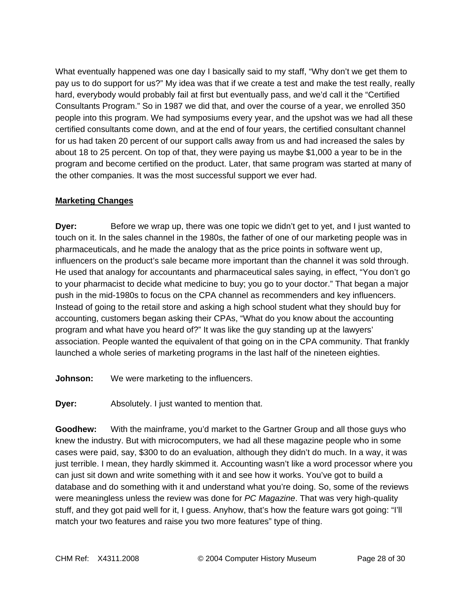What eventually happened was one day I basically said to my staff, "Why don't we get them to pay us to do support for us?" My idea was that if we create a test and make the test really, really hard, everybody would probably fail at first but eventually pass, and we'd call it the "Certified Consultants Program." So in 1987 we did that, and over the course of a year, we enrolled 350 people into this program. We had symposiums every year, and the upshot was we had all these certified consultants come down, and at the end of four years, the certified consultant channel for us had taken 20 percent of our support calls away from us and had increased the sales by about 18 to 25 percent. On top of that, they were paying us maybe \$1,000 a year to be in the program and become certified on the product. Later, that same program was started at many of the other companies. It was the most successful support we ever had.

# **Marketing Changes**

**Dyer:** Before we wrap up, there was one topic we didn't get to yet, and I just wanted to touch on it. In the sales channel in the 1980s, the father of one of our marketing people was in pharmaceuticals, and he made the analogy that as the price points in software went up, influencers on the product's sale became more important than the channel it was sold through. He used that analogy for accountants and pharmaceutical sales saying, in effect, "You don't go to your pharmacist to decide what medicine to buy; you go to your doctor." That began a major push in the mid-1980s to focus on the CPA channel as recommenders and key influencers. Instead of going to the retail store and asking a high school student what they should buy for accounting, customers began asking their CPAs, "What do you know about the accounting program and what have you heard of?" It was like the guy standing up at the lawyers' association. People wanted the equivalent of that going on in the CPA community. That frankly launched a whole series of marketing programs in the last half of the nineteen eighties.

**Johnson:** We were marketing to the influencers.

**Dyer:** Absolutely. I just wanted to mention that.

**Goodhew:** With the mainframe, you'd market to the Gartner Group and all those guys who knew the industry. But with microcomputers, we had all these magazine people who in some cases were paid, say, \$300 to do an evaluation, although they didn't do much. In a way, it was just terrible. I mean, they hardly skimmed it. Accounting wasn't like a word processor where you can just sit down and write something with it and see how it works. You've got to build a database and do something with it and understand what you're doing. So, some of the reviews were meaningless unless the review was done for *PC Magazine*. That was very high-quality stuff, and they got paid well for it, I guess. Anyhow, that's how the feature wars got going: "I'll match your two features and raise you two more features" type of thing.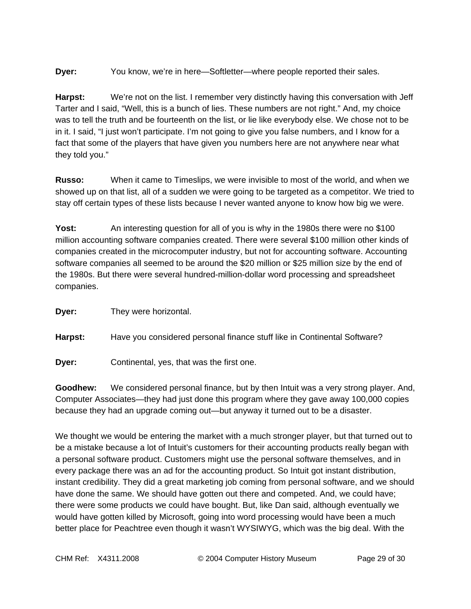**Dyer:** You know, we're in here—Softletter—where people reported their sales.

**Harpst:** We're not on the list. I remember very distinctly having this conversation with Jeff Tarter and I said, "Well, this is a bunch of lies. These numbers are not right." And, my choice was to tell the truth and be fourteenth on the list, or lie like everybody else. We chose not to be in it. I said, "I just won't participate. I'm not going to give you false numbers, and I know for a fact that some of the players that have given you numbers here are not anywhere near what they told you."

**Russo:** When it came to Timeslips, we were invisible to most of the world, and when we showed up on that list, all of a sudden we were going to be targeted as a competitor. We tried to stay off certain types of these lists because I never wanted anyone to know how big we were.

**Yost:** An interesting question for all of you is why in the 1980s there were no \$100 million accounting software companies created. There were several \$100 million other kinds of companies created in the microcomputer industry, but not for accounting software. Accounting software companies all seemed to be around the \$20 million or \$25 million size by the end of the 1980s. But there were several hundred-million-dollar word processing and spreadsheet companies.

**Dyer:** They were horizontal.

**Harpst:** Have you considered personal finance stuff like in Continental Software?

**Dyer:** Continental, yes, that was the first one.

**Goodhew:** We considered personal finance, but by then Intuit was a very strong player. And, Computer Associates—they had just done this program where they gave away 100,000 copies because they had an upgrade coming out—but anyway it turned out to be a disaster.

We thought we would be entering the market with a much stronger player, but that turned out to be a mistake because a lot of Intuit's customers for their accounting products really began with a personal software product. Customers might use the personal software themselves, and in every package there was an ad for the accounting product. So Intuit got instant distribution, instant credibility. They did a great marketing job coming from personal software, and we should have done the same. We should have gotten out there and competed. And, we could have; there were some products we could have bought. But, like Dan said, although eventually we would have gotten killed by Microsoft, going into word processing would have been a much better place for Peachtree even though it wasn't WYSIWYG, which was the big deal. With the